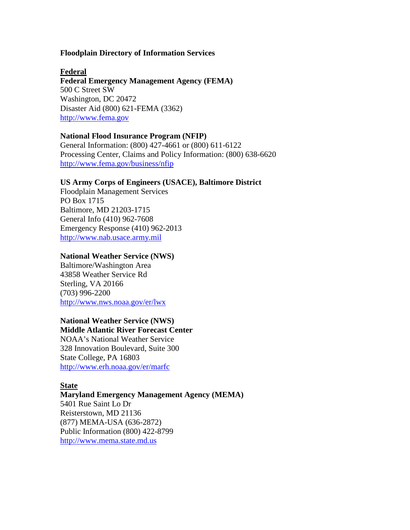## **Floodplain Directory of Information Services**

**Federal Emergency Management Agency (FEMA) Federal**  500 C Street SW Washington, DC 20472 Disaster Aid (800) 621-FEMA (3362) [http://www.fema.gov](http://www.fema.gov/)

## **National Flood Insurance Program (NFIP)**

General Information: (800) 427-4661 or (800) 611-6122 Processing Center, Claims and Policy Information: (800) 638-6620 <http://www.fema.gov/business/nfip>

## **US Army Corps of Engineers (USACE), Baltimore District**

Floodplain Management Services PO Box 1715 Baltimore, MD 21203-1715 General Info (410) 962-7608 Emergency Response (410) 962-2013 [http://www.nab.usace.army.mil](http://www.nab.usace.army.mil/)

## **National Weather Service (NWS)**

Baltimore/Washington Area 43858 Weather Service Rd Sterling, VA 20166 (703) 996-2200 <http://www.nws.noaa.gov/er/lwx>

# **National Weather Service (NWS)**

**Middle Atlantic River Forecast Center**  NOAA's National Weather Service 328 Innovation Boulevard, Suite 300 State College, PA 16803

<http://www.erh.noaa.gov/er/marfc>

## **State**

## **Maryland Emergency Management Agency (MEMA)**

5401 Rue Saint Lo Dr Reisterstown, MD 21136 (877) MEMA-USA (636-2872) Public Information (800) 422-8799 [http://www.mema.state.md.us](http://www.mema.state.md.us/)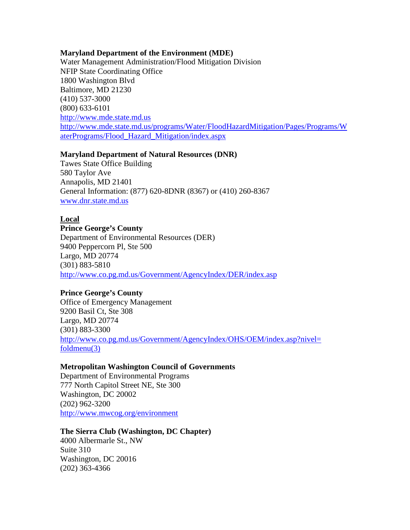## **Maryland Department of the Environment (MDE)**

Water Management Administration/Flood Mitigation Division NFIP State Coordinating Office 1800 Washington Blvd Baltimore, MD 21230 (410) 537-3000 (800) 633-6101 [http://www.mde.state.md.us](http://www.mde.state.md.us/) [http://www.mde.state.md.us/programs/Water/FloodHazardMitigation/Pages/Programs/W](http://www.mde.state.md.us/programs/Water/FloodHazardMitigation/Pages/Programs/WaterPrograms/Flood_Hazard_Mitigation/index.aspx) [aterPrograms/Flood\\_Hazard\\_Mitigation/index.aspx](http://www.mde.state.md.us/programs/Water/FloodHazardMitigation/Pages/Programs/WaterPrograms/Flood_Hazard_Mitigation/index.aspx)

## **Maryland Department of Natural Resources (DNR)**

Tawes State Office Building 580 Taylor Ave Annapolis, MD 21401 General Information: (877) 620-8DNR (8367) or (410) 260-8367 [www.dnr.state.md.us](http://www.dnr.state.md.us/)

## **Local**

## **Prince George's County**

Department of Environmental Resources (DER) 9400 Peppercorn Pl, Ste 500 Largo, MD 20774 (301) 883-5810 <http://www.co.pg.md.us/Government/AgencyIndex/DER/index.asp>

## **Prince George's County**

Office of Emergency Management 9200 Basil Ct, Ste 308 Largo, MD 20774 (301) 883-3300 [http://www.co.pg.md.us/Government/AgencyIndex/OHS/OEM/index.asp?nivel=](http://www.co.pg.md.us/Government/AgencyIndex/OHS/OEM/index.asp?nivel=%20foldmenu(3))  [foldmenu\(3\)](http://www.co.pg.md.us/Government/AgencyIndex/OHS/OEM/index.asp?nivel=%20foldmenu(3))

## **Metropolitan Washington Council of Governments**

Department of Environmental Programs 777 North Capitol Street NE, Ste 300 Washington, DC 20002 (202) 962-3200 <http://www.mwcog.org/environment>

## **The Sierra Club (Washington, DC Chapter)**

4000 Albermarle St., NW Suite 310 Washington, DC 20016 (202) 363-4366